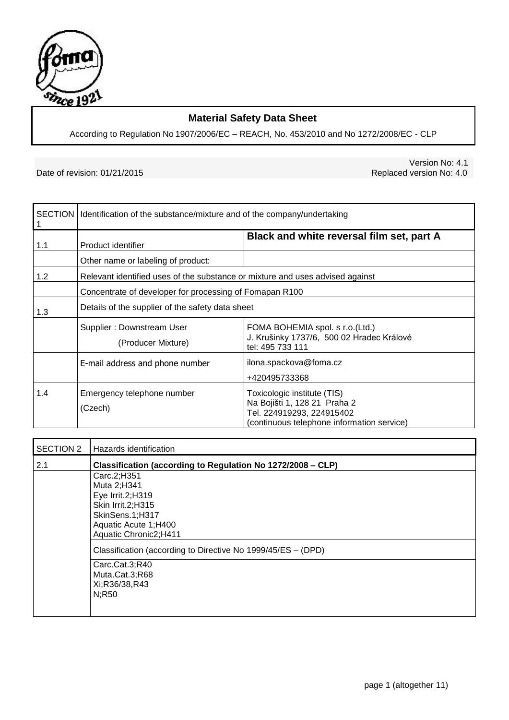

# **Material Safety Data Sheet**

According to Regulation No 1907/2006/EC – REACH, No. 453/2010 and No 1272/2008/EC - CLP

Date of revision: 01/21/2015

Version No: 4.1<br>Replaced version No: 4.0

|     | SECTION   Identification of the substance/mixture and of the company/undertaking |                                                                                                                                        |  |
|-----|----------------------------------------------------------------------------------|----------------------------------------------------------------------------------------------------------------------------------------|--|
| 1.1 | Product identifier                                                               | Black and white reversal film set, part A                                                                                              |  |
|     | Other name or labeling of product:                                               |                                                                                                                                        |  |
| 1.2 | Relevant identified uses of the substance or mixture and uses advised against    |                                                                                                                                        |  |
|     | Concentrate of developer for processing of Fomapan R100                          |                                                                                                                                        |  |
| 1.3 | Details of the supplier of the safety data sheet                                 |                                                                                                                                        |  |
|     | Supplier: Downstream User<br>(Producer Mixture)                                  | FOMA BOHEMIA spol. s r.o.(Ltd.)<br>J. Krušinky 1737/6, 500 02 Hradec Králové<br>tel: 495 733 111                                       |  |
|     | E-mail address and phone number                                                  | ilona.spackova@foma.cz<br>+420495733368                                                                                                |  |
| 1.4 | Emergency telephone number<br>(Czech)                                            | Toxicologic institute (TIS)<br>Na Bojišti 1, 128 21 Praha 2<br>Tel. 224919293, 224915402<br>(continuous telephone information service) |  |

| SECTION 2 | Hazards identification                                       |  |  |  |
|-----------|--------------------------------------------------------------|--|--|--|
| 2.1       | Classification (according to Regulation No 1272/2008 - CLP)  |  |  |  |
|           | Carc.2;H351                                                  |  |  |  |
|           | Muta 2;H341                                                  |  |  |  |
|           | Eye Irrit.2;H319                                             |  |  |  |
|           | Skin Irrit.2;H315                                            |  |  |  |
|           | SkinSens.1;H317                                              |  |  |  |
|           | Aquatic Acute 1;H400                                         |  |  |  |
|           | Aquatic Chronic2;H411                                        |  |  |  |
|           | Classification (according to Directive No 1999/45/ES - (DPD) |  |  |  |
|           | Carc.Cat.3;R40                                               |  |  |  |
|           | Muta.Cat.3;R68                                               |  |  |  |
|           | Xi;R36/38,R43                                                |  |  |  |
|           | N;R50                                                        |  |  |  |
|           |                                                              |  |  |  |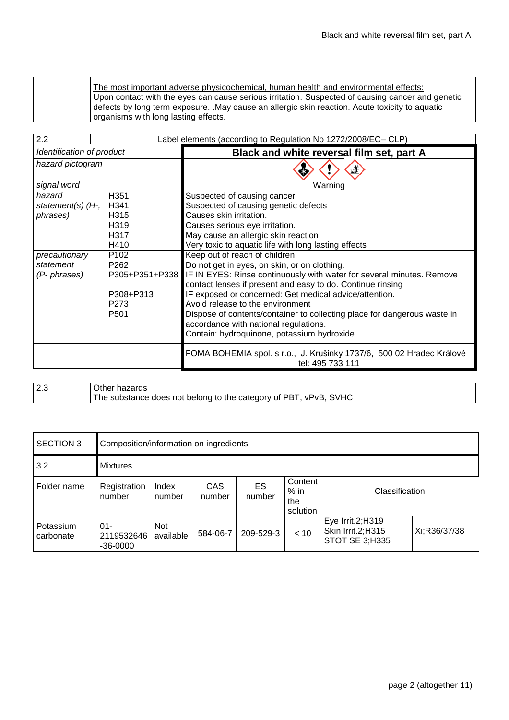The most important adverse physicochemical, human health and environmental effects: Upon contact with the eyes can cause serious irritation. Suspected of causing cancer and genetic defects by long term exposure. .May cause an allergic skin reaction. Acute toxicity to aquatic organisms with long lasting effects.

| 2.2                       | Label elements (according to Regulation No 1272/2008/EC– CLP) |                                                                                          |  |  |
|---------------------------|---------------------------------------------------------------|------------------------------------------------------------------------------------------|--|--|
| Identification of product | Black and white reversal film set, part A                     |                                                                                          |  |  |
| hazard pictogram          |                                                               |                                                                                          |  |  |
| signal word               |                                                               | Warning                                                                                  |  |  |
| hazard                    | H351                                                          | Suspected of causing cancer                                                              |  |  |
| statement(s) $(Hz)$       | H341                                                          | Suspected of causing genetic defects                                                     |  |  |
| phrases)                  | H315                                                          | Causes skin irritation.                                                                  |  |  |
|                           | H319                                                          | Causes serious eye irritation.                                                           |  |  |
|                           | H317                                                          | May cause an allergic skin reaction                                                      |  |  |
|                           | H410                                                          | Very toxic to aquatic life with long lasting effects                                     |  |  |
| precautionary             | P <sub>102</sub>                                              | Keep out of reach of children                                                            |  |  |
| statement                 | P <sub>262</sub>                                              | Do not get in eyes, on skin, or on clothing.                                             |  |  |
| (P- phrases)              |                                                               | P305+P351+P338 IF IN EYES: Rinse continuously with water for several minutes. Remove     |  |  |
|                           |                                                               | contact lenses if present and easy to do. Continue rinsing                               |  |  |
|                           | P308+P313                                                     | IF exposed or concerned: Get medical advice/attention.                                   |  |  |
|                           | P273                                                          | Avoid release to the environment                                                         |  |  |
|                           | P <sub>501</sub>                                              | Dispose of contents/container to collecting place for dangerous waste in                 |  |  |
|                           |                                                               | accordance with national regulations.                                                    |  |  |
|                           |                                                               | Contain: hydroquinone, potassium hydroxide                                               |  |  |
|                           |                                                               | FOMA BOHEMIA spol. s r.o., J. Krušinky 1737/6, 500 02 Hradec Králové<br>tel: 495 733 111 |  |  |

| $\sim$<br>ت ک | $\sim$<br>Other<br>- -<br>nazards                                                                                |
|---------------|------------------------------------------------------------------------------------------------------------------|
|               | ۸/H<br>PR)<br>vPvR<br>category<br>; not belona<br>the<br>ot l<br>substance<br>ne<br>does<br>- IC<br>⋯<br>$\cdot$ |

| <b>SECTION 3</b>       | Composition/information on ingredients |                  |                                                                                         |           |      |                                                                |              |
|------------------------|----------------------------------------|------------------|-----------------------------------------------------------------------------------------|-----------|------|----------------------------------------------------------------|--------------|
| 3.2                    | <b>Mixtures</b>                        |                  |                                                                                         |           |      |                                                                |              |
| Folder name            | Registration<br>number                 | Index<br>number  | Content<br>CAS<br>ES<br>$%$ in<br>Classification<br>number<br>number<br>the<br>solution |           |      |                                                                |              |
| Potassium<br>carbonate | $01 -$<br>2119532646<br>$-36 - 0000$   | Not<br>available | 584-06-7                                                                                | 209-529-3 | < 10 | Eye Irrit.2;H319<br>Skin Irrit.2;H315<br><b>STOT SE 3:H335</b> | Xi;R36/37/38 |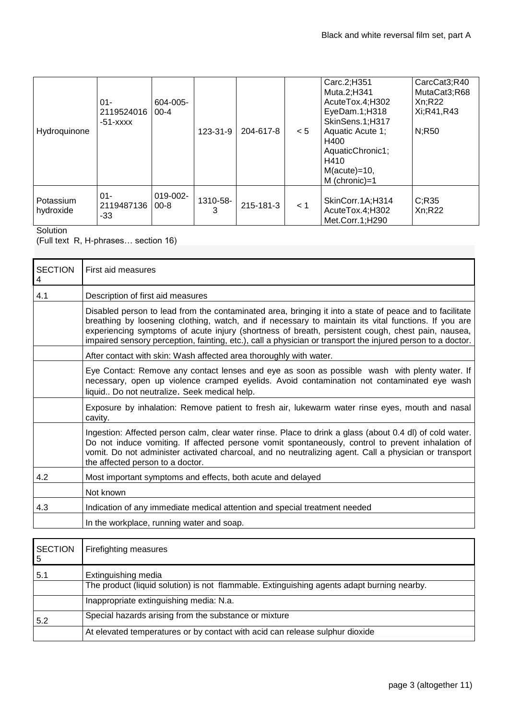| Hydroquinone           | $01 -$<br>2119524016<br>$-51 - XXXX$ | 604-005-<br>$00 - 4$ | 123-31-9      | 204-617-8 | < 5 | Carc.2;H351<br>Muta.2;H341<br>AcuteTox.4;H302<br>EyeDam.1;H318<br>SkinSens.1;H317<br>Aquatic Acute 1;<br>H400<br>AquaticChronic1;<br>H410<br>$M(acute) = 10$ ,<br>M (chronic)=1 | CarcCat3;R40<br>MutaCat3;R68<br>Xn:R22<br>Xi;R41,R43<br>N;R50 |
|------------------------|--------------------------------------|----------------------|---------------|-----------|-----|---------------------------------------------------------------------------------------------------------------------------------------------------------------------------------|---------------------------------------------------------------|
| Potassium<br>hydroxide | $01 -$<br>2119487136<br>-33          | 019-002-<br>$00 - 8$ | 1310-58-<br>3 | 215-181-3 | < 1 | SkinCorr.1A;H314<br>AcuteTox.4;H302<br>Met.Corr.1:H290                                                                                                                          | C; R35<br>Xn:R22                                              |

**Solution** 

(Full text R, H-phrases… section 16)

| <b>SECTION</b><br>4 | First aid measures                                                                                                                                                                                                                                                                                                                                                                                                                  |  |  |  |  |
|---------------------|-------------------------------------------------------------------------------------------------------------------------------------------------------------------------------------------------------------------------------------------------------------------------------------------------------------------------------------------------------------------------------------------------------------------------------------|--|--|--|--|
| 4.1                 | Description of first aid measures                                                                                                                                                                                                                                                                                                                                                                                                   |  |  |  |  |
|                     | Disabled person to lead from the contaminated area, bringing it into a state of peace and to facilitate<br>breathing by loosening clothing, watch, and if necessary to maintain its vital functions. If you are<br>experiencing symptoms of acute injury (shortness of breath, persistent cough, chest pain, nausea,<br>impaired sensory perception, fainting, etc.), call a physician or transport the injured person to a doctor. |  |  |  |  |
|                     | After contact with skin: Wash affected area thoroughly with water.                                                                                                                                                                                                                                                                                                                                                                  |  |  |  |  |
|                     | Eye Contact: Remove any contact lenses and eye as soon as possible wash with plenty water. If<br>necessary, open up violence cramped eyelids. Avoid contamination not contaminated eye wash<br>liquid Do not neutralize. Seek medical help.                                                                                                                                                                                         |  |  |  |  |
|                     | Exposure by inhalation: Remove patient to fresh air, lukewarm water rinse eyes, mouth and nasal<br>cavity.                                                                                                                                                                                                                                                                                                                          |  |  |  |  |
|                     | Ingestion: Affected person calm, clear water rinse. Place to drink a glass (about 0.4 dl) of cold water.<br>Do not induce vomiting. If affected persone vomit spontaneously, control to prevent inhalation of<br>vomit. Do not administer activated charcoal, and no neutralizing agent. Call a physician or transport<br>the affected person to a doctor.                                                                          |  |  |  |  |
| 4.2                 | Most important symptoms and effects, both acute and delayed                                                                                                                                                                                                                                                                                                                                                                         |  |  |  |  |
|                     | Not known                                                                                                                                                                                                                                                                                                                                                                                                                           |  |  |  |  |
| 4.3                 | Indication of any immediate medical attention and special treatment needed                                                                                                                                                                                                                                                                                                                                                          |  |  |  |  |
|                     | In the workplace, running water and soap.                                                                                                                                                                                                                                                                                                                                                                                           |  |  |  |  |
|                     |                                                                                                                                                                                                                                                                                                                                                                                                                                     |  |  |  |  |

| <b>SECTION</b><br>5 | Firefighting measures                                                                      |
|---------------------|--------------------------------------------------------------------------------------------|
| 5.1                 | Extinguishing media                                                                        |
|                     | The product (liquid solution) is not flammable. Extinguishing agents adapt burning nearby. |
|                     | Inappropriate extinguishing media: N.a.                                                    |
| 5.2                 | Special hazards arising from the substance or mixture                                      |
|                     | At elevated temperatures or by contact with acid can release sulphur dioxide               |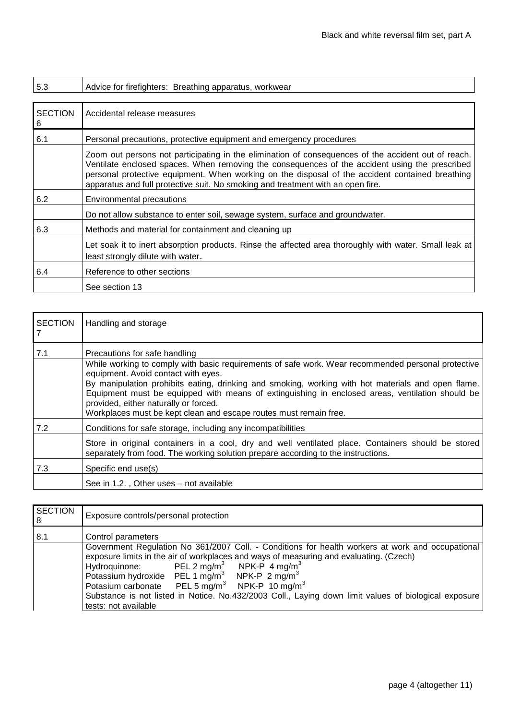| 5.3                 | Advice for firefighters: Breathing apparatus, workwear                                                                                                                                                                                                                                                                                                                                      |
|---------------------|---------------------------------------------------------------------------------------------------------------------------------------------------------------------------------------------------------------------------------------------------------------------------------------------------------------------------------------------------------------------------------------------|
|                     |                                                                                                                                                                                                                                                                                                                                                                                             |
| <b>SECTION</b><br>6 | Accidental release measures                                                                                                                                                                                                                                                                                                                                                                 |
| 6.1                 | Personal precautions, protective equipment and emergency procedures                                                                                                                                                                                                                                                                                                                         |
|                     | Zoom out persons not participating in the elimination of consequences of the accident out of reach.<br>Ventilate enclosed spaces. When removing the consequences of the accident using the prescribed<br>personal protective equipment. When working on the disposal of the accident contained breathing<br>apparatus and full protective suit. No smoking and treatment with an open fire. |
| 6.2                 | <b>Environmental precautions</b>                                                                                                                                                                                                                                                                                                                                                            |
|                     | Do not allow substance to enter soil, sewage system, surface and groundwater.                                                                                                                                                                                                                                                                                                               |
| 6.3                 | Methods and material for containment and cleaning up                                                                                                                                                                                                                                                                                                                                        |
|                     | Let soak it to inert absorption products. Rinse the affected area thoroughly with water. Small leak at<br>least strongly dilute with water.                                                                                                                                                                                                                                                 |
| 6.4                 | Reference to other sections                                                                                                                                                                                                                                                                                                                                                                 |
|                     | See section 13                                                                                                                                                                                                                                                                                                                                                                              |

| <b>SECTION</b> | Handling and storage                                                                                                                                                                                                                                                                                                                                                                                                                                                                              |
|----------------|---------------------------------------------------------------------------------------------------------------------------------------------------------------------------------------------------------------------------------------------------------------------------------------------------------------------------------------------------------------------------------------------------------------------------------------------------------------------------------------------------|
| 7.1            | Precautions for safe handling<br>While working to comply with basic requirements of safe work. Wear recommended personal protective<br>equipment. Avoid contact with eyes.<br>By manipulation prohibits eating, drinking and smoking, working with hot materials and open flame.<br>Equipment must be equipped with means of extinguishing in enclosed areas, ventilation should be<br>provided, either naturally or forced.<br>Workplaces must be kept clean and escape routes must remain free. |
| 7.2            | Conditions for safe storage, including any incompatibilities<br>Store in original containers in a cool, dry and well ventilated place. Containers should be stored                                                                                                                                                                                                                                                                                                                                |
| 7.3            | separately from food. The working solution prepare according to the instructions.<br>Specific end use(s)<br>See in 1.2., Other uses – not available                                                                                                                                                                                                                                                                                                                                               |

| <b>SECTION</b><br>8 | Exposure controls/personal protection                                                                                                                                                                                                                                                                                                                                                                                                                                                                                                                  |  |  |  |  |
|---------------------|--------------------------------------------------------------------------------------------------------------------------------------------------------------------------------------------------------------------------------------------------------------------------------------------------------------------------------------------------------------------------------------------------------------------------------------------------------------------------------------------------------------------------------------------------------|--|--|--|--|
| 8.1                 | Control parameters                                                                                                                                                                                                                                                                                                                                                                                                                                                                                                                                     |  |  |  |  |
|                     | Government Regulation No 361/2007 Coll. - Conditions for health workers at work and occupational<br>exposure limits in the air of workplaces and ways of measuring and evaluating. (Czech)<br>PEL 2 mg/m <sup>3</sup> NPK-P 4 mg/m <sup>3</sup><br>Hydroquinone:<br>Potassium hydroxide PEL 1 mg/m <sup>3</sup> NPK-P 2 mg/m <sup>3</sup><br>PEL 5 mg/m <sup>3</sup> NPK-P 10 mg/m <sup>3</sup><br>Potasium carbonate<br>Substance is not listed in Notice. No.432/2003 Coll., Laying down limit values of biological exposure<br>tests: not available |  |  |  |  |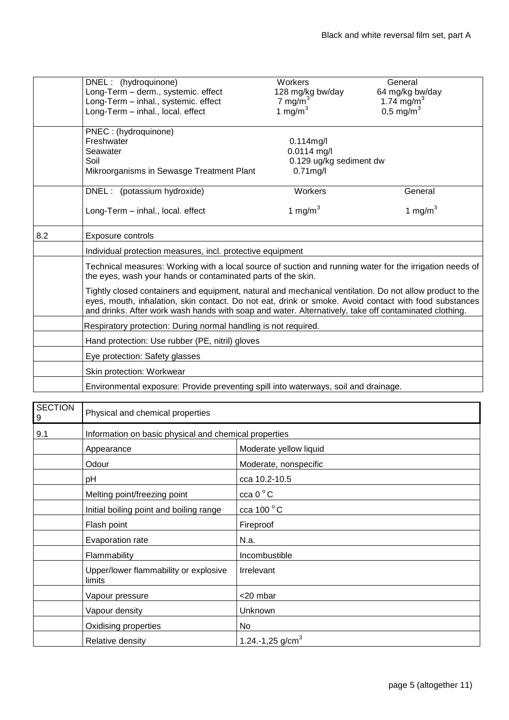|     | DNEL: (hydroquinone)                                                                                                                                                                                                                                                                                                                                                                                                                                                                                   | Workers                 | General                 |  |  |  |
|-----|--------------------------------------------------------------------------------------------------------------------------------------------------------------------------------------------------------------------------------------------------------------------------------------------------------------------------------------------------------------------------------------------------------------------------------------------------------------------------------------------------------|-------------------------|-------------------------|--|--|--|
|     | Long-Term - derm., systemic. effect                                                                                                                                                                                                                                                                                                                                                                                                                                                                    | 128 mg/kg bw/day        | 64 mg/kg bw/day         |  |  |  |
|     | Long-Term - inhal., systemic. effect                                                                                                                                                                                                                                                                                                                                                                                                                                                                   | 7 mg/m $3$              | 1.74 mg/m <sup>3</sup>  |  |  |  |
|     | Long-Term - inhal., local. effect                                                                                                                                                                                                                                                                                                                                                                                                                                                                      | 1 mg/m $3$              | $0,5 \,\mathrm{mg/m}^3$ |  |  |  |
|     | PNEC: (hydroquinone)                                                                                                                                                                                                                                                                                                                                                                                                                                                                                   |                         |                         |  |  |  |
|     | Freshwater                                                                                                                                                                                                                                                                                                                                                                                                                                                                                             | $0.114$ mg/l            |                         |  |  |  |
|     | Seawater                                                                                                                                                                                                                                                                                                                                                                                                                                                                                               | $0.0114$ mg/l           |                         |  |  |  |
|     | Soil                                                                                                                                                                                                                                                                                                                                                                                                                                                                                                   | 0.129 ug/kg sediment dw |                         |  |  |  |
|     | Mikroorganisms in Sewasge Treatment Plant                                                                                                                                                                                                                                                                                                                                                                                                                                                              | $0.71$ mg/l             |                         |  |  |  |
|     | DNEL: (potassium hydroxide)                                                                                                                                                                                                                                                                                                                                                                                                                                                                            | Workers                 | General                 |  |  |  |
|     | Long-Term - inhal., local. effect                                                                                                                                                                                                                                                                                                                                                                                                                                                                      | 1 mg/m $3$              | 1 mg/m $3$              |  |  |  |
| 8.2 | <b>Exposure controls</b>                                                                                                                                                                                                                                                                                                                                                                                                                                                                               |                         |                         |  |  |  |
|     | Individual protection measures, incl. protective equipment                                                                                                                                                                                                                                                                                                                                                                                                                                             |                         |                         |  |  |  |
|     | Technical measures: Working with a local source of suction and running water for the irrigation needs of<br>the eyes, wash your hands or contaminated parts of the skin.<br>Tightly closed containers and equipment, natural and mechanical ventilation. Do not allow product to the<br>eyes, mouth, inhalation, skin contact. Do not eat, drink or smoke. Avoid contact with food substances<br>and drinks. After work wash hands with soap and water. Alternatively, take off contaminated clothing. |                         |                         |  |  |  |
|     |                                                                                                                                                                                                                                                                                                                                                                                                                                                                                                        |                         |                         |  |  |  |
|     | Respiratory protection: During normal handling is not required.                                                                                                                                                                                                                                                                                                                                                                                                                                        |                         |                         |  |  |  |
|     | Hand protection: Use rubber (PE, nitril) gloves                                                                                                                                                                                                                                                                                                                                                                                                                                                        |                         |                         |  |  |  |
|     | Eye protection: Safety glasses                                                                                                                                                                                                                                                                                                                                                                                                                                                                         |                         |                         |  |  |  |
|     | Skin protection: Workwear                                                                                                                                                                                                                                                                                                                                                                                                                                                                              |                         |                         |  |  |  |
|     | Environmental exposure: Provide preventing spill into waterways, soil and drainage.                                                                                                                                                                                                                                                                                                                                                                                                                    |                         |                         |  |  |  |

| <b>SECTION</b><br>$\overline{9}$ | Physical and chemical properties                      |                              |
|----------------------------------|-------------------------------------------------------|------------------------------|
| 9.1                              | Information on basic physical and chemical properties |                              |
|                                  | Appearance                                            | Moderate yellow liquid       |
|                                  | Odour                                                 | Moderate, nonspecific        |
|                                  | рH                                                    | cca 10.2-10.5                |
|                                  | Melting point/freezing point                          | $cca 0^{\circ}C$             |
|                                  | Initial boiling point and boiling range               | cca 100 $^{\circ}$ C         |
|                                  | Flash point                                           | Fireproof                    |
|                                  | Evaporation rate                                      | N.a.                         |
|                                  | Flammability                                          | Incombustible                |
|                                  | Upper/lower flammability or explosive<br>limits       | Irrelevant                   |
|                                  | Vapour pressure                                       | <20 mbar                     |
|                                  | Vapour density                                        | Unknown                      |
|                                  | Oxidising properties                                  | No.                          |
|                                  | Relative density                                      | 1.24.-1,25 g/cm <sup>3</sup> |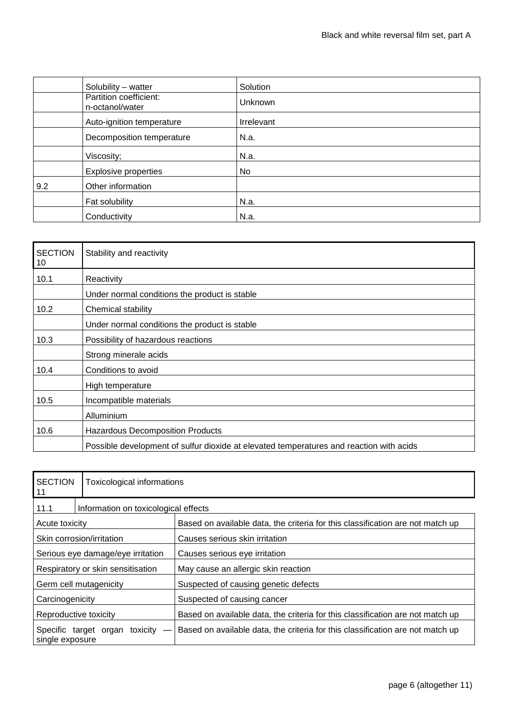|     | Solubility - watter                       | Solution          |
|-----|-------------------------------------------|-------------------|
|     | Partition coefficient:<br>n-octanol/water | <b>Unknown</b>    |
|     | Auto-ignition temperature                 | <b>Irrelevant</b> |
|     | Decomposition temperature                 | N.a.              |
|     | Viscosity;                                | N.a.              |
|     | <b>Explosive properties</b>               | No                |
| 9.2 | Other information                         |                   |
|     | Fat solubility                            | N.a.              |
|     | Conductivity                              | N.a.              |

| <b>SECTION</b><br>10 | Stability and reactivity                                                                |
|----------------------|-----------------------------------------------------------------------------------------|
| 10.1                 | Reactivity                                                                              |
|                      | Under normal conditions the product is stable                                           |
| 10.2                 | Chemical stability                                                                      |
|                      | Under normal conditions the product is stable                                           |
| 10.3                 | Possibility of hazardous reactions                                                      |
|                      | Strong minerale acids                                                                   |
| 10.4                 | Conditions to avoid                                                                     |
|                      | High temperature                                                                        |
| 10.5                 | Incompatible materials                                                                  |
|                      | Alluminium                                                                              |
| 10.6                 | <b>Hazardous Decomposition Products</b>                                                 |
|                      | Possible development of sulfur dioxide at elevated temperatures and reaction with acids |

| <b>SECTION</b><br>11                              | Toxicological informations |                                                                                |  |
|---------------------------------------------------|----------------------------|--------------------------------------------------------------------------------|--|
| 11.1                                              |                            | Information on toxicological effects                                           |  |
| Acute toxicity                                    |                            | Based on available data, the criteria for this classification are not match up |  |
| Skin corrosion/irritation                         |                            | Causes serious skin irritation                                                 |  |
| Serious eye damage/eye irritation                 |                            | Causes serious eye irritation                                                  |  |
| Respiratory or skin sensitisation                 |                            | May cause an allergic skin reaction                                            |  |
| Germ cell mutagenicity                            |                            | Suspected of causing genetic defects                                           |  |
| Carcinogenicity                                   |                            | Suspected of causing cancer                                                    |  |
| Reproductive toxicity                             |                            | Based on available data, the criteria for this classification are not match up |  |
| Specific target organ toxicity<br>single exposure |                            | Based on available data, the criteria for this classification are not match up |  |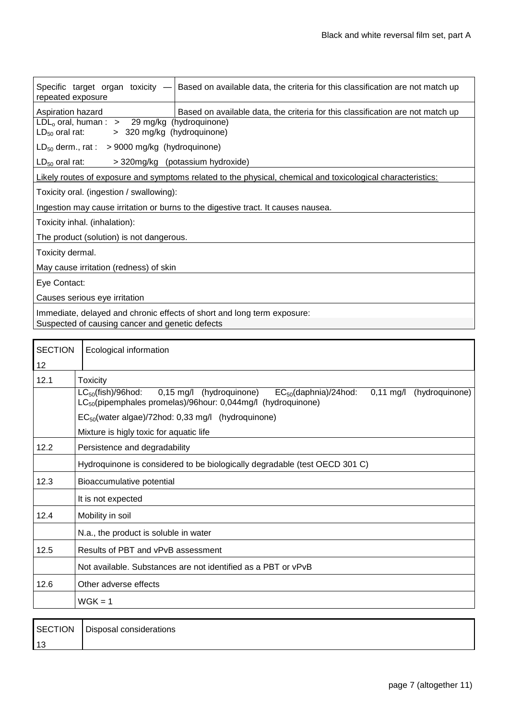| Specific target organ toxicity $-$<br>repeated exposure                                                     | Based on available data, the criteria for this classification are not match up |  |  |
|-------------------------------------------------------------------------------------------------------------|--------------------------------------------------------------------------------|--|--|
| Aspiration hazard                                                                                           | Based on available data, the criteria for this classification are not match up |  |  |
| $LDLo$ oral, human : > 29 mg/kg (hydroquinone)<br>> 320 mg/kg (hydroquinone)<br>$LD_{50}$ oral rat:         |                                                                                |  |  |
| $LD_{50}$ derm., rat : > 9000 mg/kg (hydroquinone)                                                          |                                                                                |  |  |
| $LD_{50}$ oral rat:<br>> 320mg/kg (potassium hydroxide)                                                     |                                                                                |  |  |
| Likely routes of exposure and symptoms related to the physical, chemical and toxicological characteristics: |                                                                                |  |  |
| Toxicity oral. (ingestion / swallowing):                                                                    |                                                                                |  |  |
| Ingestion may cause irritation or burns to the digestive tract. It causes nausea.                           |                                                                                |  |  |
| Toxicity inhal. (inhalation):                                                                               |                                                                                |  |  |
| The product (solution) is not dangerous.                                                                    |                                                                                |  |  |
| Toxicity dermal.                                                                                            |                                                                                |  |  |
| May cause irritation (redness) of skin                                                                      |                                                                                |  |  |
| Eye Contact:                                                                                                |                                                                                |  |  |
| Causes serious eye irritation                                                                               |                                                                                |  |  |
| Immediate, delayed and chronic effects of short and long term exposure:                                     |                                                                                |  |  |
| Suspected of causing cancer and genetic defects                                                             |                                                                                |  |  |

| <b>SECTION</b> | Ecological information                                                                                                                                                                                 |  |  |
|----------------|--------------------------------------------------------------------------------------------------------------------------------------------------------------------------------------------------------|--|--|
| 12             |                                                                                                                                                                                                        |  |  |
| 12.1           | <b>Toxicity</b>                                                                                                                                                                                        |  |  |
|                | $LC_{50}$ (fish)/96hod:<br>0,15 mg/l (hydroquinone)<br>$EC_{50}$ (daphnia)/24hod:<br>$0,11 \text{ mg/l}$<br>(hydroquinone)<br>LC <sub>50</sub> (pipemphales promelas)/96hour: 0,044mg/l (hydroquinone) |  |  |
|                | $EC_{50}$ (water algae)/72hod: 0,33 mg/l (hydroquinone)                                                                                                                                                |  |  |
|                | Mixture is higly toxic for aquatic life                                                                                                                                                                |  |  |
| 12.2           | Persistence and degradability                                                                                                                                                                          |  |  |
|                | Hydroquinone is considered to be biologically degradable (test OECD 301 C)                                                                                                                             |  |  |
| 12.3           | Bioaccumulative potential                                                                                                                                                                              |  |  |
|                | It is not expected                                                                                                                                                                                     |  |  |
| 12.4           | Mobility in soil                                                                                                                                                                                       |  |  |
|                | N.a., the product is soluble in water                                                                                                                                                                  |  |  |
| 12.5           | Results of PBT and vPvB assessment                                                                                                                                                                     |  |  |
|                | Not available. Substances are not identified as a PBT or vPvB                                                                                                                                          |  |  |
| 12.6           | Other adverse effects                                                                                                                                                                                  |  |  |
|                | $W$ GK = 1                                                                                                                                                                                             |  |  |
|                |                                                                                                                                                                                                        |  |  |

| SECTION | Disposal considerations |
|---------|-------------------------|
| 13      |                         |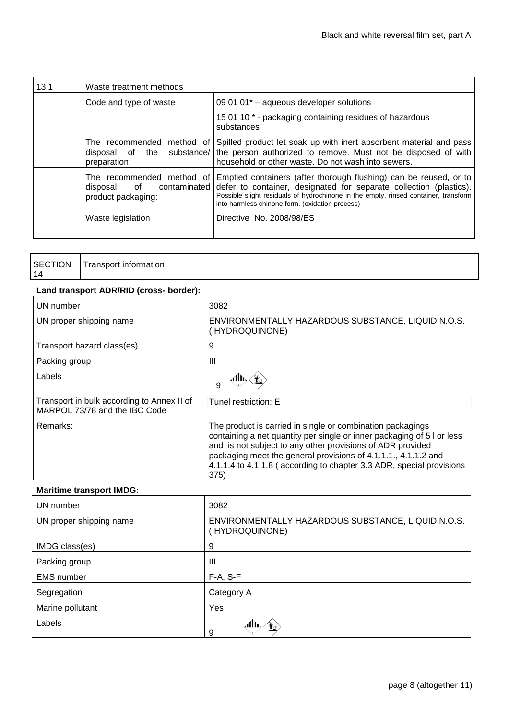| 13.1 | Waste treatment methods              |                                                                                                                                                                                                                                                                                                                          |
|------|--------------------------------------|--------------------------------------------------------------------------------------------------------------------------------------------------------------------------------------------------------------------------------------------------------------------------------------------------------------------------|
|      | Code and type of waste               | 09 01 01 $^*$ – aqueous developer solutions                                                                                                                                                                                                                                                                              |
|      |                                      | 15 01 10 * - packaging containing residues of hazardous<br>substances                                                                                                                                                                                                                                                    |
|      | preparation:                         | The recommended method of Spilled product let soak up with inert absorbent material and pass<br>disposal of the substance/ the person authorized to remove. Must not be disposed of with<br>household or other waste. Do not wash into sewers.                                                                           |
|      | of<br>disposal<br>product packaging: | The recommended method of Emptied containers (after thorough flushing) can be reused, or to<br>contaminated defer to container, designated for separate collection (plastics).<br>Possible slight residuals of hydrochinone in the empty, rinsed container, transform<br>into harmless chinone form. (oxidation process) |
|      | Waste legislation                    | Directive No. 2008/98/ES                                                                                                                                                                                                                                                                                                 |
|      |                                      |                                                                                                                                                                                                                                                                                                                          |

|    | SECTION   Transport information |
|----|---------------------------------|
| 14 |                                 |

## **Land transport ADR/RID (cross- border):**

| UN number                                                                   | 3082                                                                                                                                                                                                                                                                                                                                                 |
|-----------------------------------------------------------------------------|------------------------------------------------------------------------------------------------------------------------------------------------------------------------------------------------------------------------------------------------------------------------------------------------------------------------------------------------------|
| UN proper shipping name                                                     | ENVIRONMENTALLY HAZARDOUS SUBSTANCE, LIQUID, N.O.S.<br>HYDROQUINONE)                                                                                                                                                                                                                                                                                 |
| Transport hazard class(es)                                                  | 9                                                                                                                                                                                                                                                                                                                                                    |
| Packing group                                                               | Ш                                                                                                                                                                                                                                                                                                                                                    |
| Labels                                                                      | 9                                                                                                                                                                                                                                                                                                                                                    |
| Transport in bulk according to Annex II of<br>MARPOL 73/78 and the IBC Code | Tunel restriction: E                                                                                                                                                                                                                                                                                                                                 |
| Remarks:                                                                    | The product is carried in single or combination packagings<br>containing a net quantity per single or inner packaging of 5 l or less<br>and is not subject to any other provisions of ADR provided<br>packaging meet the general provisions of 4.1.1.1., 4.1.1.2 and<br>4.1.1.4 to 4.1.1.8 (according to chapter 3.3 ADR, special provisions<br>375) |

## **Maritime transport IMDG:**

| UN number               | 3082                                                                 |
|-------------------------|----------------------------------------------------------------------|
| UN proper shipping name | ENVIRONMENTALLY HAZARDOUS SUBSTANCE, LIQUID, N.O.S.<br>HYDROQUINONE) |
| IMDG class(es)          | 9                                                                    |
| Packing group           | Ш                                                                    |
| <b>EMS</b> number       | $F-A, S-F$                                                           |
| Segregation             | Category A                                                           |
| Marine pollutant        | Yes                                                                  |
| Labels                  | Alb,<br>9                                                            |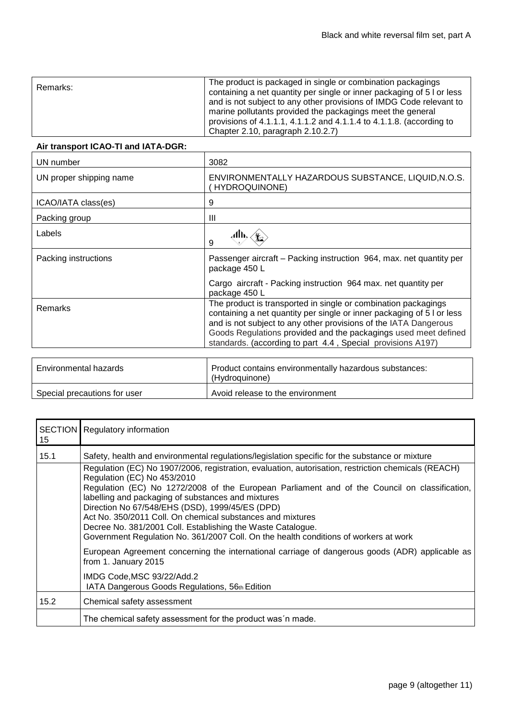| Remarks: | The product is packaged in single or combination packagings<br>containing a net quantity per single or inner packaging of 5 l or less<br>and is not subject to any other provisions of IMDG Code relevant to<br>marine pollutants provided the packagings meet the general<br>provisions of 4.1.1.1, 4.1.1.2 and 4.1.1.4 to 4.1.1.8. (according to |
|----------|----------------------------------------------------------------------------------------------------------------------------------------------------------------------------------------------------------------------------------------------------------------------------------------------------------------------------------------------------|
|          | Chapter 2.10, paragraph 2.10.2.7)                                                                                                                                                                                                                                                                                                                  |

## **Air transport ICAO-TI and IATA-DGR:**

| 3082                                                                                                                                                                                                                                                                                                                                           |
|------------------------------------------------------------------------------------------------------------------------------------------------------------------------------------------------------------------------------------------------------------------------------------------------------------------------------------------------|
| ENVIRONMENTALLY HAZARDOUS SUBSTANCE, LIQUID, N.O.S.<br><b>HYDROQUINONE)</b>                                                                                                                                                                                                                                                                    |
| 9                                                                                                                                                                                                                                                                                                                                              |
| Ш                                                                                                                                                                                                                                                                                                                                              |
| 9                                                                                                                                                                                                                                                                                                                                              |
| Passenger aircraft – Packing instruction 964, max. net quantity per<br>package 450 L                                                                                                                                                                                                                                                           |
| Cargo aircraft - Packing instruction 964 max. net quantity per<br>package 450 L                                                                                                                                                                                                                                                                |
| The product is transported in single or combination packagings<br>containing a net quantity per single or inner packaging of 5 l or less<br>and is not subject to any other provisions of the IATA Dangerous<br>Goods Regulations provided and the packagings used meet defined<br>standards. (according to part 4.4, Special provisions A197) |
|                                                                                                                                                                                                                                                                                                                                                |

| Environmental hazards        | Product contains environmentally hazardous substances:<br>(Hydroguinone) |
|------------------------------|--------------------------------------------------------------------------|
| Special precautions for user | Avoid release to the environment                                         |

| 15   | <b>SECTION</b> Regulatory information                                                                                                                                                                                                                                                                                                                                                                                                                                                                                                                                                                                                                               |
|------|---------------------------------------------------------------------------------------------------------------------------------------------------------------------------------------------------------------------------------------------------------------------------------------------------------------------------------------------------------------------------------------------------------------------------------------------------------------------------------------------------------------------------------------------------------------------------------------------------------------------------------------------------------------------|
| 15.1 | Safety, health and environmental regulations/legislation specific for the substance or mixture<br>Regulation (EC) No 1907/2006, registration, evaluation, autorisation, restriction chemicals (REACH)<br>Regulation (EC) No 453/2010<br>Regulation (EC) No 1272/2008 of the European Parliament and of the Council on classification,<br>labelling and packaging of substances and mixtures<br>Direction No 67/548/EHS (DSD), 1999/45/ES (DPD)<br>Act No. 350/2011 Coll. On chemical substances and mixtures<br>Decree No. 381/2001 Coll. Establishing the Waste Catalogue.<br>Government Regulation No. 361/2007 Coll. On the health conditions of workers at work |
|      | European Agreement concerning the international carriage of dangerous goods (ADR) applicable as<br>from 1. January 2015<br>IMDG Code, MSC 93/22/Add.2                                                                                                                                                                                                                                                                                                                                                                                                                                                                                                               |
| 15.2 | IATA Dangerous Goods Regulations, 56th Edition<br>Chemical safety assessment<br>The chemical safety assessment for the product was n made.                                                                                                                                                                                                                                                                                                                                                                                                                                                                                                                          |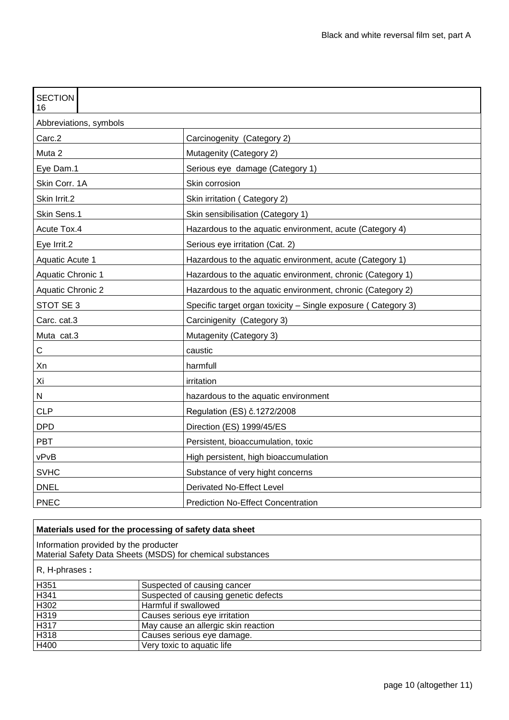| <b>SECTION</b><br>16     |                                                                |  |  |
|--------------------------|----------------------------------------------------------------|--|--|
| Abbreviations, symbols   |                                                                |  |  |
| Carc.2                   | Carcinogenity (Category 2)                                     |  |  |
| Muta 2                   | Mutagenity (Category 2)                                        |  |  |
| Eye Dam.1                | Serious eye damage (Category 1)                                |  |  |
| Skin Corr. 1A            | Skin corrosion                                                 |  |  |
| Skin Irrit.2             | Skin irritation (Category 2)                                   |  |  |
| Skin Sens.1              | Skin sensibilisation (Category 1)                              |  |  |
| Acute Tox.4              | Hazardous to the aquatic environment, acute (Category 4)       |  |  |
| Eye Irrit.2              | Serious eye irritation (Cat. 2)                                |  |  |
| Aquatic Acute 1          | Hazardous to the aquatic environment, acute (Category 1)       |  |  |
| Aquatic Chronic 1        | Hazardous to the aquatic environment, chronic (Category 1)     |  |  |
| <b>Aquatic Chronic 2</b> | Hazardous to the aquatic environment, chronic (Category 2)     |  |  |
| STOT SE 3                | Specific target organ toxicity - Single exposure ( Category 3) |  |  |
| Carc. cat.3              | Carcinigenity (Category 3)                                     |  |  |
| Muta cat.3               | Mutagenity (Category 3)                                        |  |  |
| C                        | caustic                                                        |  |  |
| Xn                       | harmfull                                                       |  |  |
| Xi                       | irritation                                                     |  |  |
| N                        | hazardous to the aquatic environment                           |  |  |
| <b>CLP</b>               | Regulation (ES) č.1272/2008                                    |  |  |
| <b>DPD</b>               | Direction (ES) 1999/45/ES                                      |  |  |
| <b>PBT</b>               | Persistent, bioaccumulation, toxic                             |  |  |
| vPvB                     | High persistent, high bioaccumulation                          |  |  |
| <b>SVHC</b>              | Substance of very hight concerns                               |  |  |
| <b>DNEL</b>              | Derivated No-Effect Level                                      |  |  |
| <b>PNEC</b>              | <b>Prediction No-Effect Concentration</b>                      |  |  |

| Materials used for the processing of safety data sheet                                              |                                      |  |  |
|-----------------------------------------------------------------------------------------------------|--------------------------------------|--|--|
| Information provided by the producter<br>Material Safety Data Sheets (MSDS) for chemical substances |                                      |  |  |
| R, H-phrases :                                                                                      |                                      |  |  |
| H351                                                                                                | Suspected of causing cancer          |  |  |
| H341                                                                                                | Suspected of causing genetic defects |  |  |
| H302                                                                                                | Harmful if swallowed                 |  |  |
| H319                                                                                                | Causes serious eye irritation        |  |  |
| H317                                                                                                | May cause an allergic skin reaction  |  |  |
| H318                                                                                                | Causes serious eye damage.           |  |  |
| H400                                                                                                | Very toxic to aquatic life           |  |  |